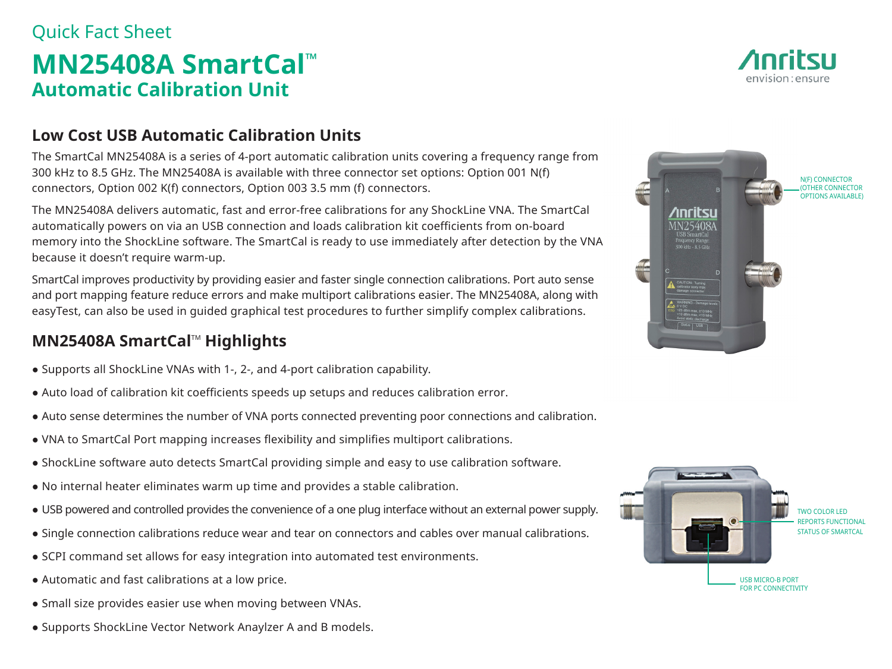## Quick Fact Sheet **MN25408A SmartCal™ Automatic Calibration Unit**

### **Low Cost USB Automatic Calibration Units**

The SmartCal MN25408A is a series of 4-port automatic calibration units covering a frequency range from 300 kHz to 8.5 GHz. The MN25408A is available with three connector set options: Option 001 N(f) connectors, Option 002 K(f) connectors, Option 003 3.5 mm (f) connectors.

The MN25408A delivers automatic, fast and error-free calibrations for any ShockLine VNA. The SmartCal automatically powers on via an USB connection and loads calibration kit coefficients from on-board memory into the ShockLine software. The SmartCal is ready to use immediately after detection by the VNA because it doesn't require warm-up.

SmartCal improves productivity by providing easier and faster single connection calibrations. Port auto sense and port mapping feature reduce errors and make multiport calibrations easier. The MN25408A, along with easyTest, can also be used in guided graphical test procedures to further simplify complex calibrations.

### **MN25408A SmartCal™ Highlights**

- Supports all ShockLine VNAs with 1-, 2-, and 4-port calibration capability.
- Auto load of calibration kit coefficients speeds up setups and reduces calibration error.
- Auto sense determines the number of VNA ports connected preventing poor connections and calibration.
- VNA to SmartCal Port mapping increases flexibility and simplifies multiport calibrations.
- ShockLine software auto detects SmartCal providing simple and easy to use calibration software.
- No internal heater eliminates warm up time and provides a stable calibration.
- USB powered and controlled provides the convenience of a one plug interface without an external power supply.
- Single connection calibrations reduce wear and tear on connectors and cables over manual calibrations.
- SCPI command set allows for easy integration into automated test environments.
- Automatic and fast calibrations at a low price.
- Small size provides easier use when moving between VNAs.
- Supports ShockLine Vector Network Anaylzer A and B models.